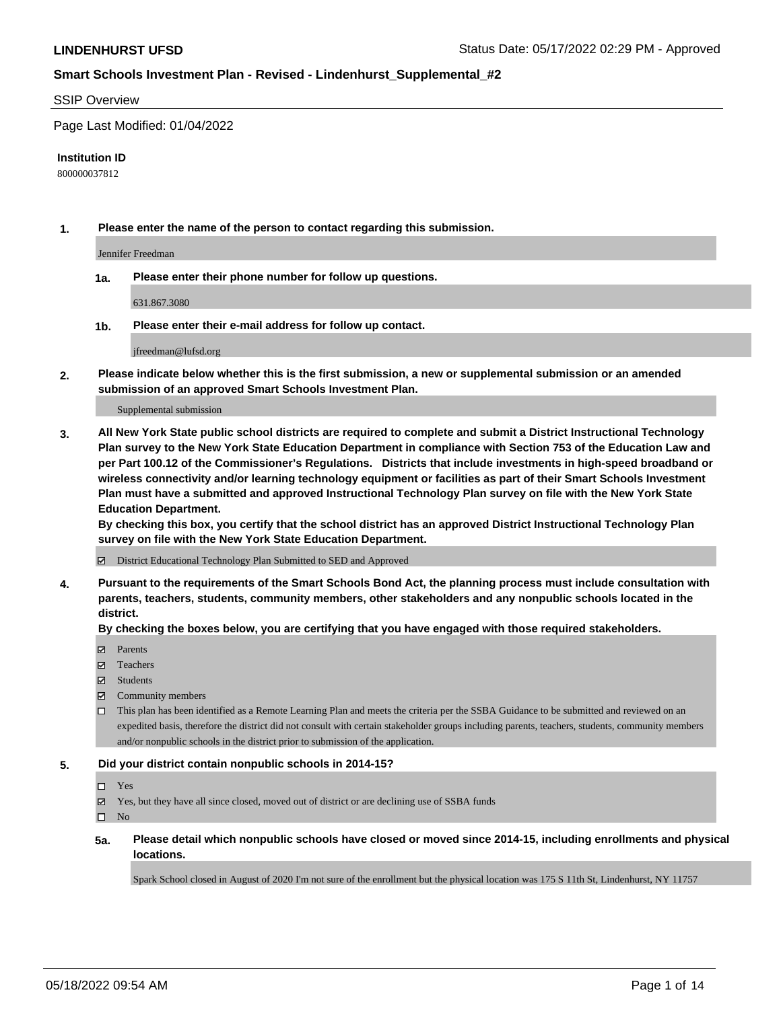#### SSIP Overview

Page Last Modified: 01/04/2022

#### **Institution ID**

800000037812

**1. Please enter the name of the person to contact regarding this submission.**

Jennifer Freedman

**1a. Please enter their phone number for follow up questions.**

631.867.3080

**1b. Please enter their e-mail address for follow up contact.**

jfreedman@lufsd.org

**2. Please indicate below whether this is the first submission, a new or supplemental submission or an amended submission of an approved Smart Schools Investment Plan.**

Supplemental submission

**3. All New York State public school districts are required to complete and submit a District Instructional Technology Plan survey to the New York State Education Department in compliance with Section 753 of the Education Law and per Part 100.12 of the Commissioner's Regulations. Districts that include investments in high-speed broadband or wireless connectivity and/or learning technology equipment or facilities as part of their Smart Schools Investment Plan must have a submitted and approved Instructional Technology Plan survey on file with the New York State Education Department.** 

**By checking this box, you certify that the school district has an approved District Instructional Technology Plan survey on file with the New York State Education Department.**

District Educational Technology Plan Submitted to SED and Approved

**4. Pursuant to the requirements of the Smart Schools Bond Act, the planning process must include consultation with parents, teachers, students, community members, other stakeholders and any nonpublic schools located in the district.** 

**By checking the boxes below, you are certifying that you have engaged with those required stakeholders.**

- $\blacksquare$  Parents
- Teachers
- Students
- $\Xi$  Community members
- This plan has been identified as a Remote Learning Plan and meets the criteria per the SSBA Guidance to be submitted and reviewed on an expedited basis, therefore the district did not consult with certain stakeholder groups including parents, teachers, students, community members and/or nonpublic schools in the district prior to submission of the application.

#### **5. Did your district contain nonpublic schools in 2014-15?**

- Yes
- $\boxtimes$  Yes, but they have all since closed, moved out of district or are declining use of SSBA funds

 $\square$  No

**5a. Please detail which nonpublic schools have closed or moved since 2014-15, including enrollments and physical locations.**

Spark School closed in August of 2020 I'm not sure of the enrollment but the physical location was 175 S 11th St, Lindenhurst, NY 11757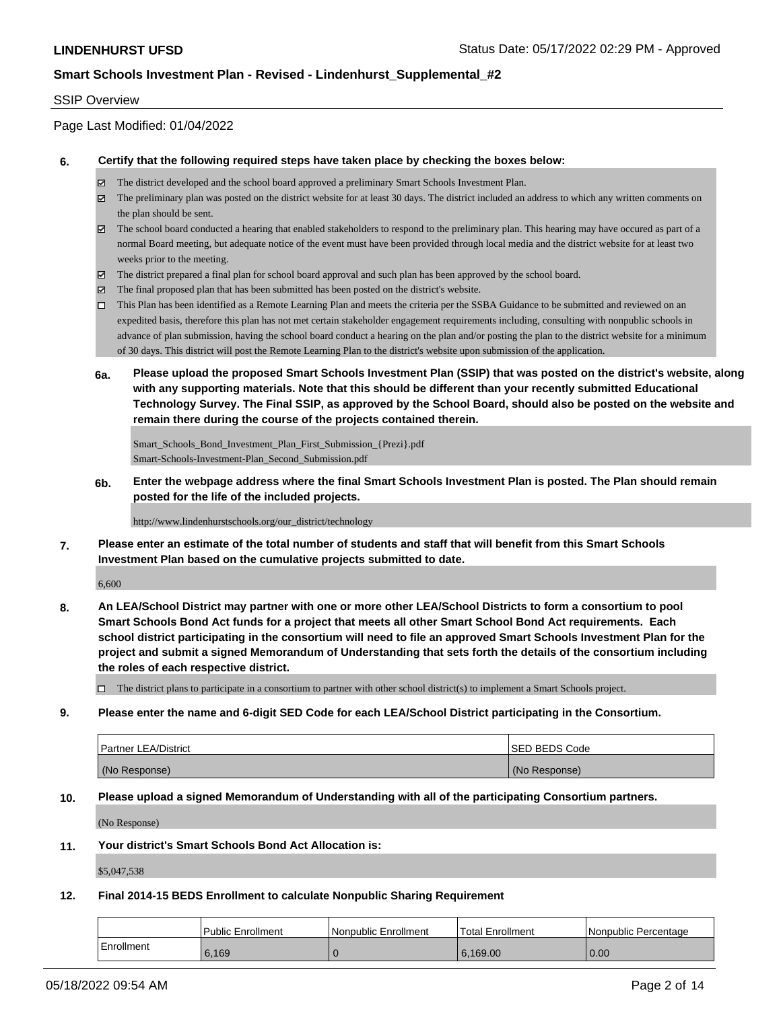### SSIP Overview

Page Last Modified: 01/04/2022

#### **6. Certify that the following required steps have taken place by checking the boxes below:**

- The district developed and the school board approved a preliminary Smart Schools Investment Plan.
- $\boxtimes$  The preliminary plan was posted on the district website for at least 30 days. The district included an address to which any written comments on the plan should be sent.
- $\boxtimes$  The school board conducted a hearing that enabled stakeholders to respond to the preliminary plan. This hearing may have occured as part of a normal Board meeting, but adequate notice of the event must have been provided through local media and the district website for at least two weeks prior to the meeting.
- The district prepared a final plan for school board approval and such plan has been approved by the school board.
- $\boxtimes$  The final proposed plan that has been submitted has been posted on the district's website.
- This Plan has been identified as a Remote Learning Plan and meets the criteria per the SSBA Guidance to be submitted and reviewed on an expedited basis, therefore this plan has not met certain stakeholder engagement requirements including, consulting with nonpublic schools in advance of plan submission, having the school board conduct a hearing on the plan and/or posting the plan to the district website for a minimum of 30 days. This district will post the Remote Learning Plan to the district's website upon submission of the application.
- **6a. Please upload the proposed Smart Schools Investment Plan (SSIP) that was posted on the district's website, along with any supporting materials. Note that this should be different than your recently submitted Educational Technology Survey. The Final SSIP, as approved by the School Board, should also be posted on the website and remain there during the course of the projects contained therein.**

Smart Schools\_Bond\_Investment\_Plan\_First\_Submission\_{Prezi}.pdf Smart-Schools-Investment-Plan\_Second\_Submission.pdf

**6b. Enter the webpage address where the final Smart Schools Investment Plan is posted. The Plan should remain posted for the life of the included projects.**

http://www.lindenhurstschools.org/our\_district/technology

**7. Please enter an estimate of the total number of students and staff that will benefit from this Smart Schools Investment Plan based on the cumulative projects submitted to date.**

6,600

**8. An LEA/School District may partner with one or more other LEA/School Districts to form a consortium to pool Smart Schools Bond Act funds for a project that meets all other Smart School Bond Act requirements. Each school district participating in the consortium will need to file an approved Smart Schools Investment Plan for the project and submit a signed Memorandum of Understanding that sets forth the details of the consortium including the roles of each respective district.**

 $\Box$  The district plans to participate in a consortium to partner with other school district(s) to implement a Smart Schools project.

#### **9. Please enter the name and 6-digit SED Code for each LEA/School District participating in the Consortium.**

| <b>Partner LEA/District</b> | <b>ISED BEDS Code</b> |
|-----------------------------|-----------------------|
| (No Response)               | (No Response)         |

#### **10. Please upload a signed Memorandum of Understanding with all of the participating Consortium partners.**

(No Response)

#### **11. Your district's Smart Schools Bond Act Allocation is:**

\$5,047,538

## **12. Final 2014-15 BEDS Enrollment to calculate Nonpublic Sharing Requirement**

|            | l Public Enrollment | Nonpublic Enrollment | <b>Total Enrollment</b> | l Nonpublic Percentage |
|------------|---------------------|----------------------|-------------------------|------------------------|
| Enrollment | 6.169               |                      | 6.169.00                | 0.00                   |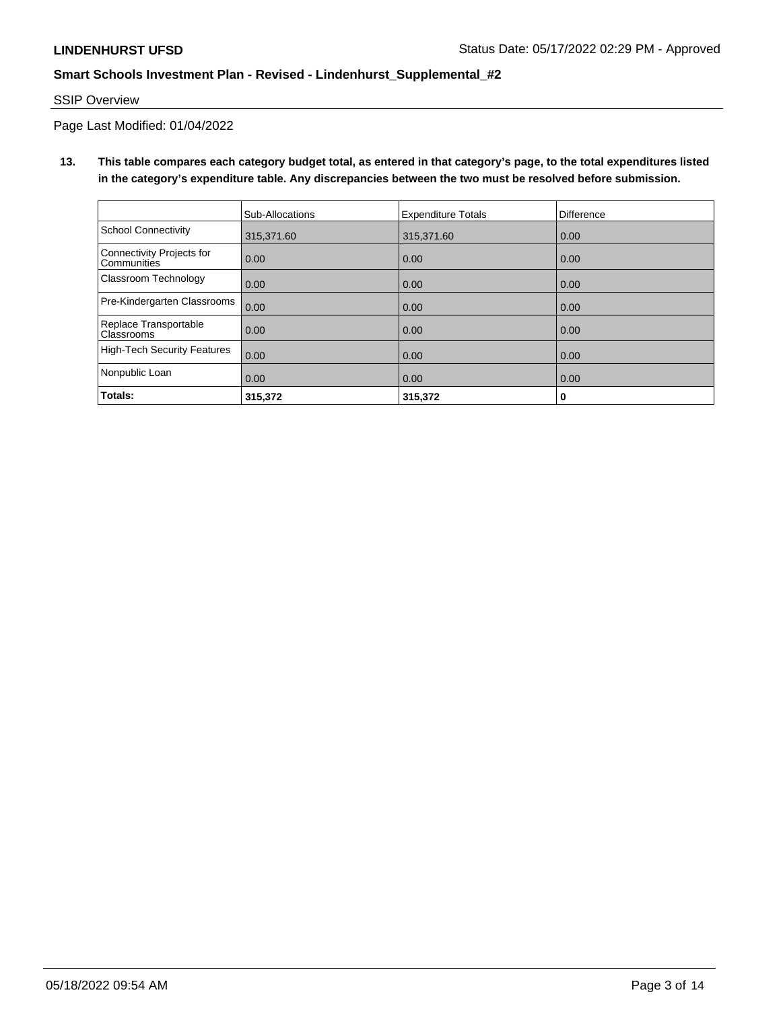## SSIP Overview

Page Last Modified: 01/04/2022

**13. This table compares each category budget total, as entered in that category's page, to the total expenditures listed in the category's expenditure table. Any discrepancies between the two must be resolved before submission.**

|                                                 | Sub-Allocations | <b>Expenditure Totals</b> | <b>Difference</b> |
|-------------------------------------------------|-----------------|---------------------------|-------------------|
| School Connectivity                             | 315.371.60      | 315,371.60                | 0.00              |
| Connectivity Projects for<br><b>Communities</b> | 0.00            | 0.00                      | 0.00              |
| <b>Classroom Technology</b>                     | 0.00            | 0.00                      | 0.00              |
| Pre-Kindergarten Classrooms                     | 0.00            | 0.00                      | 0.00              |
| Replace Transportable<br>Classrooms             | 0.00            | 0.00                      | 0.00              |
| High-Tech Security Features                     | 0.00            | 0.00                      | 0.00              |
| Nonpublic Loan                                  | 0.00            | 0.00                      | 0.00              |
| Totals:                                         | 315,372         | 315,372                   | 0                 |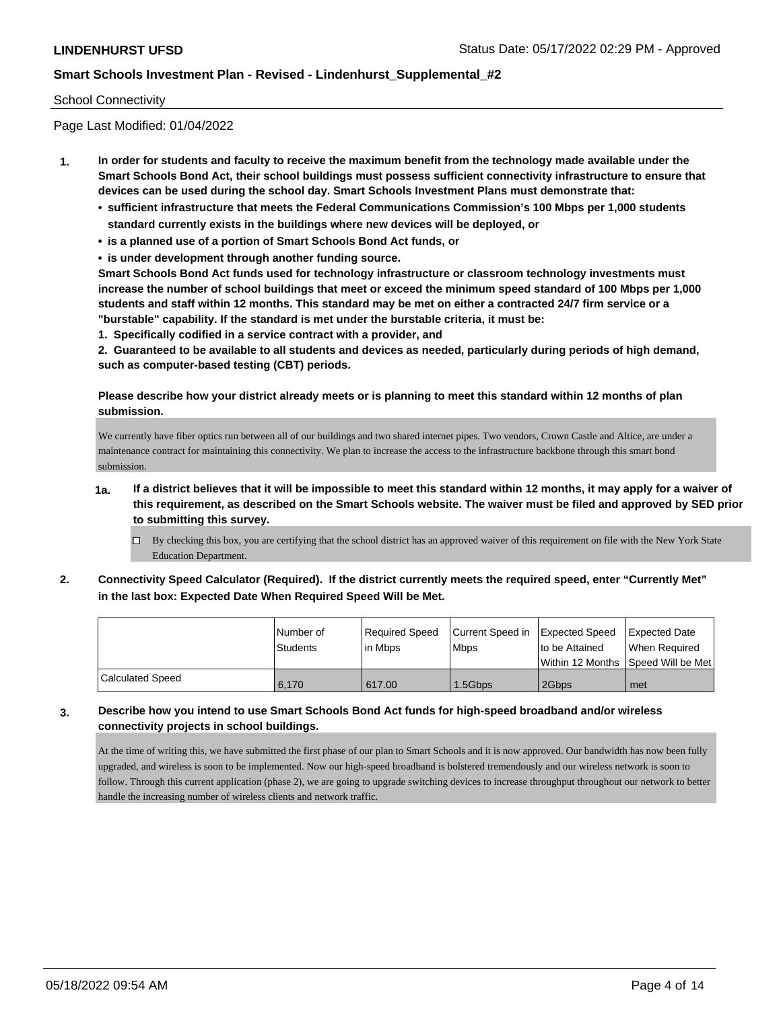### School Connectivity

Page Last Modified: 01/04/2022

- **1. In order for students and faculty to receive the maximum benefit from the technology made available under the Smart Schools Bond Act, their school buildings must possess sufficient connectivity infrastructure to ensure that devices can be used during the school day. Smart Schools Investment Plans must demonstrate that:**
	- **• sufficient infrastructure that meets the Federal Communications Commission's 100 Mbps per 1,000 students standard currently exists in the buildings where new devices will be deployed, or**
	- **• is a planned use of a portion of Smart Schools Bond Act funds, or**
	- **• is under development through another funding source.**

**Smart Schools Bond Act funds used for technology infrastructure or classroom technology investments must increase the number of school buildings that meet or exceed the minimum speed standard of 100 Mbps per 1,000 students and staff within 12 months. This standard may be met on either a contracted 24/7 firm service or a "burstable" capability. If the standard is met under the burstable criteria, it must be:**

**1. Specifically codified in a service contract with a provider, and**

**2. Guaranteed to be available to all students and devices as needed, particularly during periods of high demand, such as computer-based testing (CBT) periods.**

**Please describe how your district already meets or is planning to meet this standard within 12 months of plan submission.**

We currently have fiber optics run between all of our buildings and two shared internet pipes. Two vendors, Crown Castle and Altice, are under a maintenance contract for maintaining this connectivity. We plan to increase the access to the infrastructure backbone through this smart bond submission.

- **1a. If a district believes that it will be impossible to meet this standard within 12 months, it may apply for a waiver of this requirement, as described on the Smart Schools website. The waiver must be filed and approved by SED prior to submitting this survey.**
	- By checking this box, you are certifying that the school district has an approved waiver of this requirement on file with the New York State Education Department.
- **2. Connectivity Speed Calculator (Required). If the district currently meets the required speed, enter "Currently Met" in the last box: Expected Date When Required Speed Will be Met.**

|                         | l Number of     | Required Speed | Current Speed in | Expected Speed | <b>Expected Date</b>                    |
|-------------------------|-----------------|----------------|------------------|----------------|-----------------------------------------|
|                         | <b>Students</b> | lin Mbps       | <b>Mbps</b>      | to be Attained | When Required                           |
|                         |                 |                |                  |                | l Within 12 Months ISpeed Will be Met l |
| <b>Calculated Speed</b> | 6,170           | 617.00         | 1.5Gbps          | 2Gbps          | met                                     |

### **3. Describe how you intend to use Smart Schools Bond Act funds for high-speed broadband and/or wireless connectivity projects in school buildings.**

At the time of writing this, we have submitted the first phase of our plan to Smart Schools and it is now approved. Our bandwidth has now been fully upgraded, and wireless is soon to be implemented. Now our high-speed broadband is bolstered tremendously and our wireless network is soon to follow. Through this current application (phase 2), we are going to upgrade switching devices to increase throughput throughout our network to better handle the increasing number of wireless clients and network traffic.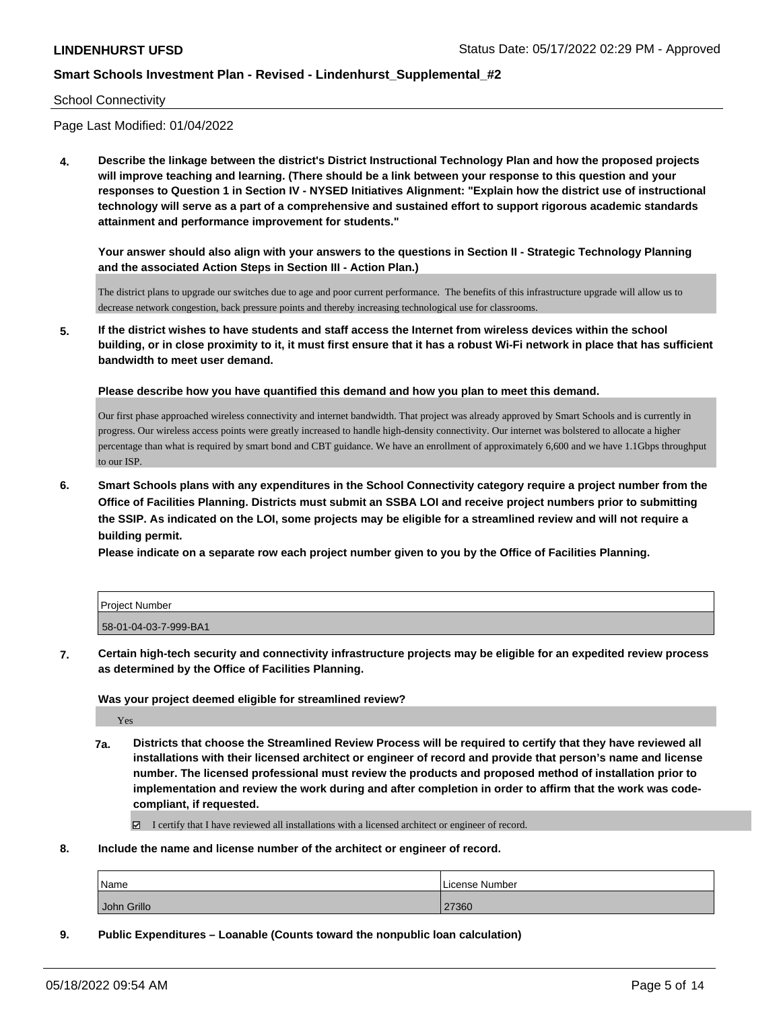### School Connectivity

Page Last Modified: 01/04/2022

**4. Describe the linkage between the district's District Instructional Technology Plan and how the proposed projects will improve teaching and learning. (There should be a link between your response to this question and your responses to Question 1 in Section IV - NYSED Initiatives Alignment: "Explain how the district use of instructional technology will serve as a part of a comprehensive and sustained effort to support rigorous academic standards attainment and performance improvement for students."** 

**Your answer should also align with your answers to the questions in Section II - Strategic Technology Planning and the associated Action Steps in Section III - Action Plan.)**

The district plans to upgrade our switches due to age and poor current performance. The benefits of this infrastructure upgrade will allow us to decrease network congestion, back pressure points and thereby increasing technological use for classrooms.

**5. If the district wishes to have students and staff access the Internet from wireless devices within the school building, or in close proximity to it, it must first ensure that it has a robust Wi-Fi network in place that has sufficient bandwidth to meet user demand.**

**Please describe how you have quantified this demand and how you plan to meet this demand.**

Our first phase approached wireless connectivity and internet bandwidth. That project was already approved by Smart Schools and is currently in progress. Our wireless access points were greatly increased to handle high-density connectivity. Our internet was bolstered to allocate a higher percentage than what is required by smart bond and CBT guidance. We have an enrollment of approximately 6,600 and we have 1.1Gbps throughput to our ISP.

**6. Smart Schools plans with any expenditures in the School Connectivity category require a project number from the Office of Facilities Planning. Districts must submit an SSBA LOI and receive project numbers prior to submitting the SSIP. As indicated on the LOI, some projects may be eligible for a streamlined review and will not require a building permit.**

**Please indicate on a separate row each project number given to you by the Office of Facilities Planning.**

| <b>Project Number</b> |  |
|-----------------------|--|
| 58-01-04-03-7-999-BA1 |  |

**7. Certain high-tech security and connectivity infrastructure projects may be eligible for an expedited review process as determined by the Office of Facilities Planning.**

**Was your project deemed eligible for streamlined review?**

Yes

**7a. Districts that choose the Streamlined Review Process will be required to certify that they have reviewed all installations with their licensed architect or engineer of record and provide that person's name and license number. The licensed professional must review the products and proposed method of installation prior to implementation and review the work during and after completion in order to affirm that the work was codecompliant, if requested.**

I certify that I have reviewed all installations with a licensed architect or engineer of record.

**8. Include the name and license number of the architect or engineer of record.**

| Name        | License Number |
|-------------|----------------|
| John Grillo | 27360          |

**9. Public Expenditures – Loanable (Counts toward the nonpublic loan calculation)**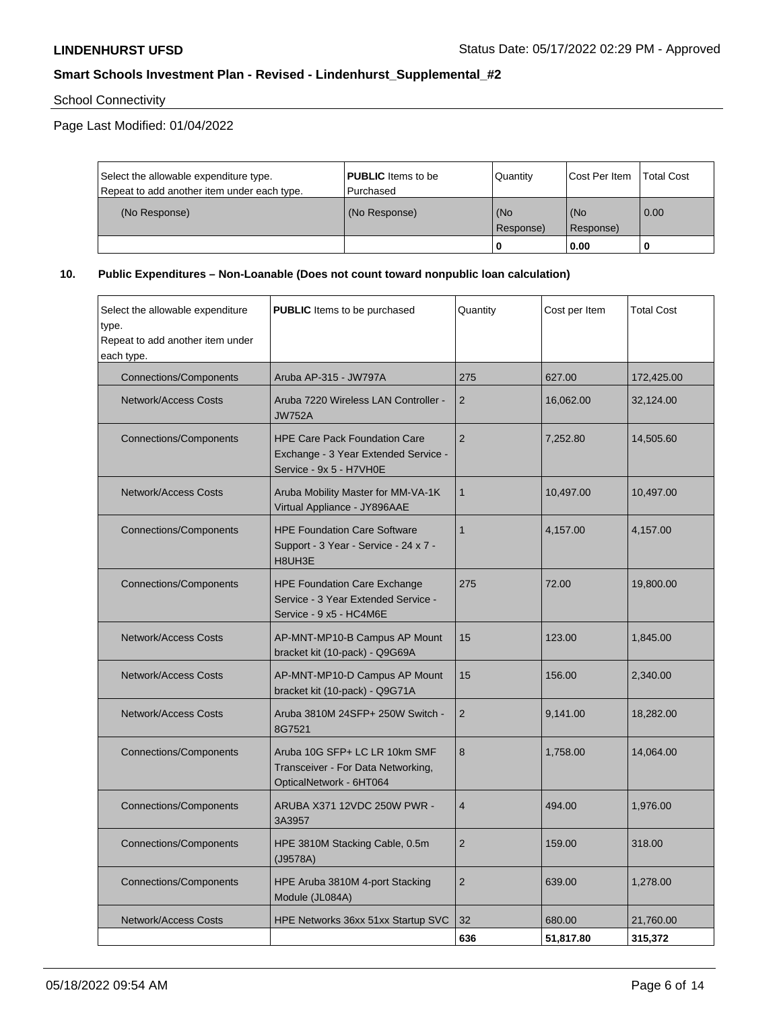School Connectivity

Page Last Modified: 01/04/2022

| Select the allowable expenditure type.      | <b>PUBLIC</b> Items to be | l Quantitv       | Cost Per Item    | <b>Total Cost</b> |
|---------------------------------------------|---------------------------|------------------|------------------|-------------------|
| Repeat to add another item under each type. | Purchased                 |                  |                  |                   |
| (No Response)                               | (No Response)             | (No<br>Response) | (No<br>Response) | 0.00              |
|                                             |                           | ' O              | 0.00             |                   |

## **10. Public Expenditures – Non-Loanable (Does not count toward nonpublic loan calculation)**

| Select the allowable expenditure<br>type.<br>Repeat to add another item under<br>each type. | <b>PUBLIC</b> Items to be purchased                                                                     | Quantity       | Cost per Item | <b>Total Cost</b> |
|---------------------------------------------------------------------------------------------|---------------------------------------------------------------------------------------------------------|----------------|---------------|-------------------|
| <b>Connections/Components</b>                                                               | Aruba AP-315 - JW797A                                                                                   | 275            | 627.00        | 172,425.00        |
| <b>Network/Access Costs</b>                                                                 | Aruba 7220 Wireless LAN Controller -<br><b>JW752A</b>                                                   | $\overline{2}$ | 16,062.00     | 32,124.00         |
| <b>Connections/Components</b>                                                               | <b>HPE Care Pack Foundation Care</b><br>Exchange - 3 Year Extended Service -<br>Service - 9x 5 - H7VH0E | $\overline{c}$ | 7,252.80      | 14,505.60         |
| <b>Network/Access Costs</b>                                                                 | Aruba Mobility Master for MM-VA-1K<br>Virtual Appliance - JY896AAE                                      | $\mathbf{1}$   | 10,497.00     | 10,497.00         |
| <b>Connections/Components</b>                                                               | <b>HPE Foundation Care Software</b><br>Support - 3 Year - Service - 24 x 7 -<br>H8UH3E                  | $\mathbf{1}$   | 4,157.00      | 4,157.00          |
| <b>Connections/Components</b>                                                               | <b>HPE Foundation Care Exchange</b><br>Service - 3 Year Extended Service -<br>Service - 9 x5 - HC4M6E   | 275            | 72.00         | 19,800.00         |
| <b>Network/Access Costs</b>                                                                 | AP-MNT-MP10-B Campus AP Mount<br>bracket kit (10-pack) - Q9G69A                                         | 15             | 123.00        | 1,845.00          |
| <b>Network/Access Costs</b>                                                                 | AP-MNT-MP10-D Campus AP Mount<br>bracket kit (10-pack) - Q9G71A                                         | 15             | 156.00        | 2,340.00          |
| <b>Network/Access Costs</b>                                                                 | Aruba 3810M 24SFP+ 250W Switch -<br>8G7521                                                              | 2              | 9,141.00      | 18,282.00         |
| <b>Connections/Components</b>                                                               | Aruba 10G SFP+ LC LR 10km SMF<br>Transceiver - For Data Networking,<br>OpticalNetwork - 6HT064          | 8              | 1.758.00      | 14,064.00         |
| <b>Connections/Components</b>                                                               | ARUBA X371 12VDC 250W PWR -<br>3A3957                                                                   | $\overline{4}$ | 494.00        | 1,976.00          |
| <b>Connections/Components</b>                                                               | HPE 3810M Stacking Cable, 0.5m<br>(J9578A)                                                              | $\overline{2}$ | 159.00        | 318.00            |
| <b>Connections/Components</b>                                                               | HPE Aruba 3810M 4-port Stacking<br>Module (JL084A)                                                      | $\overline{2}$ | 639.00        | 1,278.00          |
| Network/Access Costs                                                                        | HPE Networks 36xx 51xx Startup SVC                                                                      | 32             | 680.00        | 21,760.00         |
|                                                                                             |                                                                                                         | 636            | 51,817.80     | 315,372           |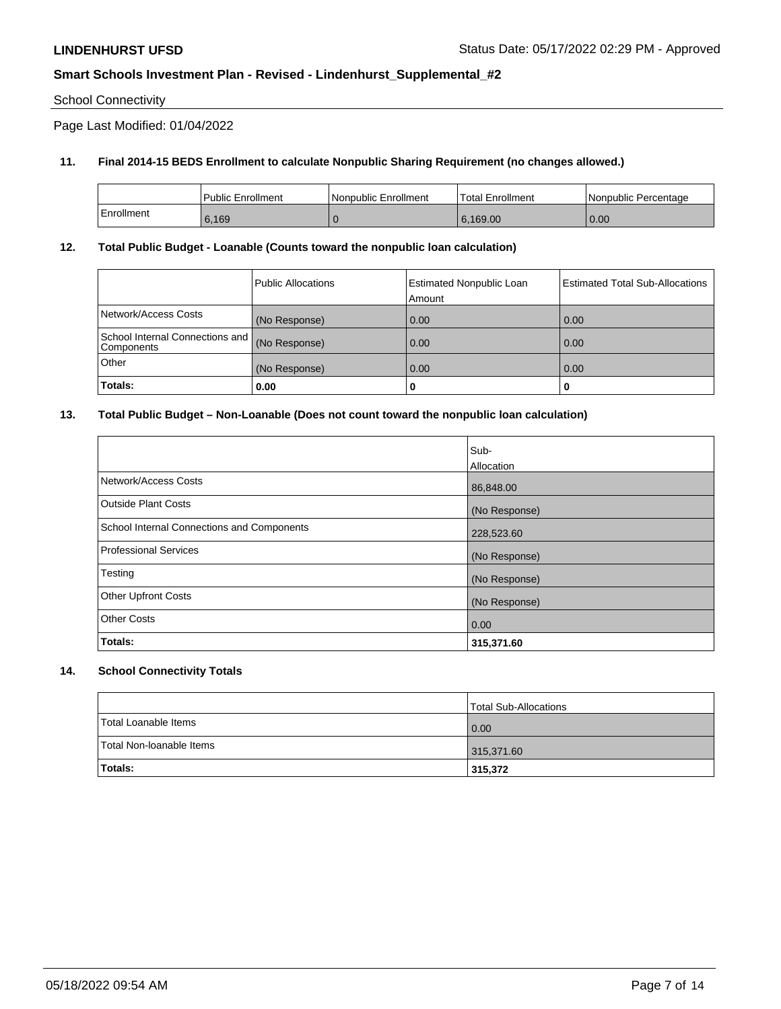## School Connectivity

Page Last Modified: 01/04/2022

## **11. Final 2014-15 BEDS Enrollment to calculate Nonpublic Sharing Requirement (no changes allowed.)**

|            | Public Enrollment | Nonpublic Enrollment | <b>Total Enrollment</b> | Nonpublic Percentage |
|------------|-------------------|----------------------|-------------------------|----------------------|
| Enrollment | 6,169             |                      | 6.169.00                | 0.00                 |

### **12. Total Public Budget - Loanable (Counts toward the nonpublic loan calculation)**

|                                                 | Public Allocations | <b>Estimated Nonpublic Loan</b><br>Amount | Estimated Total Sub-Allocations |
|-------------------------------------------------|--------------------|-------------------------------------------|---------------------------------|
| Network/Access Costs                            | (No Response)      | 0.00                                      | 0.00                            |
| School Internal Connections and  <br>Components | (No Response)      | 0.00                                      | 0.00                            |
| Other                                           | (No Response)      | 0.00                                      | 0.00                            |
| Totals:                                         | 0.00               | 0                                         | U                               |

## **13. Total Public Budget – Non-Loanable (Does not count toward the nonpublic loan calculation)**

| Totals:                                    | 0.00<br>315,371.60 |
|--------------------------------------------|--------------------|
| <b>Other Costs</b>                         |                    |
| <b>Other Upfront Costs</b>                 | (No Response)      |
| Testing                                    | (No Response)      |
| <b>Professional Services</b>               | (No Response)      |
| School Internal Connections and Components | 228,523.60         |
| <b>Outside Plant Costs</b>                 | (No Response)      |
| Network/Access Costs                       | 86,848.00          |
|                                            | Sub-<br>Allocation |
|                                            |                    |

## **14. School Connectivity Totals**

|                          | Total Sub-Allocations |
|--------------------------|-----------------------|
| Total Loanable Items     | 0.00                  |
| Total Non-Ioanable Items | 315,371.60            |
| Totals:                  | 315,372               |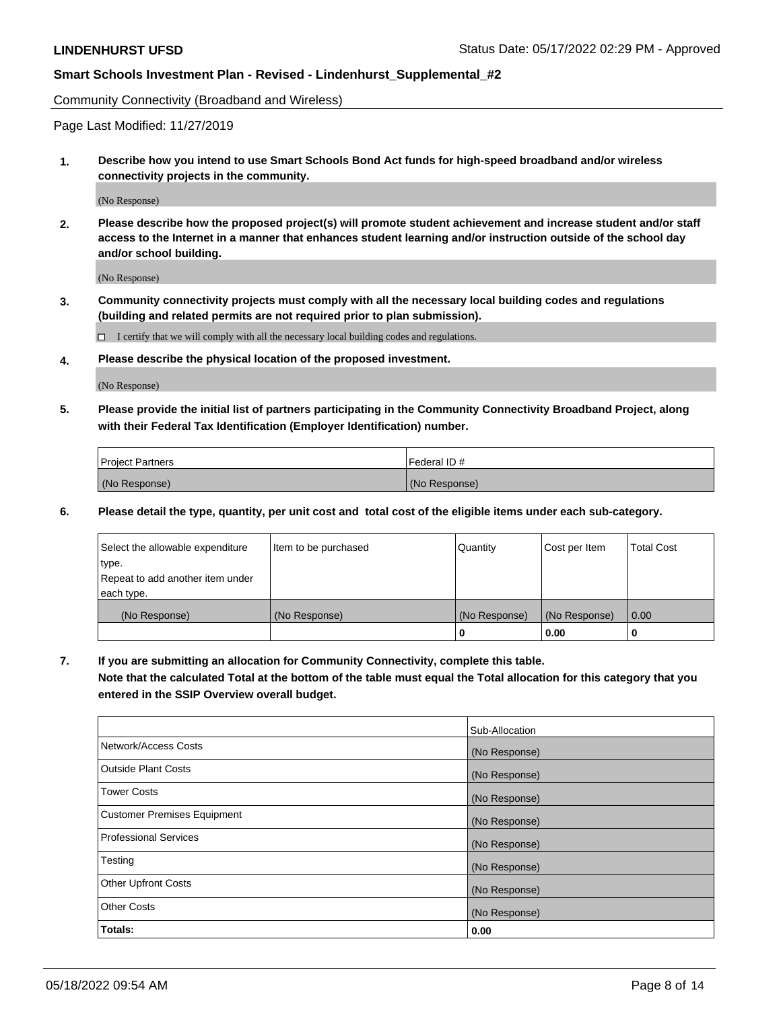Community Connectivity (Broadband and Wireless)

Page Last Modified: 11/27/2019

**1. Describe how you intend to use Smart Schools Bond Act funds for high-speed broadband and/or wireless connectivity projects in the community.**

(No Response)

**2. Please describe how the proposed project(s) will promote student achievement and increase student and/or staff access to the Internet in a manner that enhances student learning and/or instruction outside of the school day and/or school building.**

(No Response)

**3. Community connectivity projects must comply with all the necessary local building codes and regulations (building and related permits are not required prior to plan submission).**

 $\Box$  I certify that we will comply with all the necessary local building codes and regulations.

**4. Please describe the physical location of the proposed investment.**

(No Response)

**5. Please provide the initial list of partners participating in the Community Connectivity Broadband Project, along with their Federal Tax Identification (Employer Identification) number.**

| <b>Project Partners</b> | Federal ID#   |
|-------------------------|---------------|
| (No Response)           | (No Response) |

**6. Please detail the type, quantity, per unit cost and total cost of the eligible items under each sub-category.**

| Select the allowable expenditure | Item to be purchased | Quantity      | Cost per Item | <b>Total Cost</b> |
|----------------------------------|----------------------|---------------|---------------|-------------------|
| type.                            |                      |               |               |                   |
| Repeat to add another item under |                      |               |               |                   |
| each type.                       |                      |               |               |                   |
| (No Response)                    | (No Response)        | (No Response) | (No Response) | 0.00              |
|                                  |                      | 0             | 0.00          |                   |

**7. If you are submitting an allocation for Community Connectivity, complete this table.**

**Note that the calculated Total at the bottom of the table must equal the Total allocation for this category that you entered in the SSIP Overview overall budget.**

|                                    | Sub-Allocation |
|------------------------------------|----------------|
| Network/Access Costs               | (No Response)  |
| Outside Plant Costs                | (No Response)  |
| <b>Tower Costs</b>                 | (No Response)  |
| <b>Customer Premises Equipment</b> | (No Response)  |
| Professional Services              | (No Response)  |
| Testing                            | (No Response)  |
| <b>Other Upfront Costs</b>         | (No Response)  |
| <b>Other Costs</b>                 | (No Response)  |
| Totals:                            | 0.00           |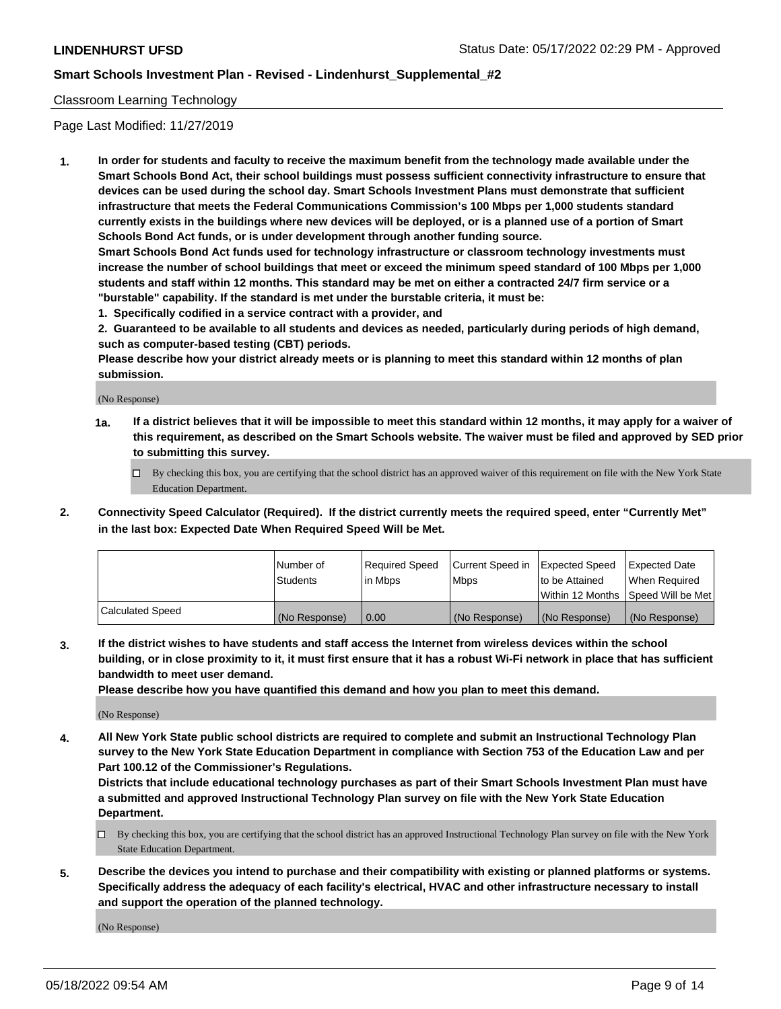### Classroom Learning Technology

Page Last Modified: 11/27/2019

**1. In order for students and faculty to receive the maximum benefit from the technology made available under the Smart Schools Bond Act, their school buildings must possess sufficient connectivity infrastructure to ensure that devices can be used during the school day. Smart Schools Investment Plans must demonstrate that sufficient infrastructure that meets the Federal Communications Commission's 100 Mbps per 1,000 students standard currently exists in the buildings where new devices will be deployed, or is a planned use of a portion of Smart Schools Bond Act funds, or is under development through another funding source.**

**Smart Schools Bond Act funds used for technology infrastructure or classroom technology investments must increase the number of school buildings that meet or exceed the minimum speed standard of 100 Mbps per 1,000 students and staff within 12 months. This standard may be met on either a contracted 24/7 firm service or a "burstable" capability. If the standard is met under the burstable criteria, it must be:**

**1. Specifically codified in a service contract with a provider, and**

**2. Guaranteed to be available to all students and devices as needed, particularly during periods of high demand, such as computer-based testing (CBT) periods.**

**Please describe how your district already meets or is planning to meet this standard within 12 months of plan submission.**

(No Response)

- **1a. If a district believes that it will be impossible to meet this standard within 12 months, it may apply for a waiver of this requirement, as described on the Smart Schools website. The waiver must be filed and approved by SED prior to submitting this survey.**
	- By checking this box, you are certifying that the school district has an approved waiver of this requirement on file with the New York State Education Department.
- **2. Connectivity Speed Calculator (Required). If the district currently meets the required speed, enter "Currently Met" in the last box: Expected Date When Required Speed Will be Met.**

|                  | Number of     | Required Speed | Current Speed in | Expected Speed | Expected Date                           |
|------------------|---------------|----------------|------------------|----------------|-----------------------------------------|
|                  | Students      | lin Mbps       | <b>Mbps</b>      | to be Attained | When Required                           |
|                  |               |                |                  |                | l Within 12 Months ISpeed Will be Met l |
| Calculated Speed | (No Response) | 0.00           | (No Response)    | (No Response)  | (No Response)                           |

**3. If the district wishes to have students and staff access the Internet from wireless devices within the school building, or in close proximity to it, it must first ensure that it has a robust Wi-Fi network in place that has sufficient bandwidth to meet user demand.**

**Please describe how you have quantified this demand and how you plan to meet this demand.**

(No Response)

**4. All New York State public school districts are required to complete and submit an Instructional Technology Plan survey to the New York State Education Department in compliance with Section 753 of the Education Law and per Part 100.12 of the Commissioner's Regulations.**

**Districts that include educational technology purchases as part of their Smart Schools Investment Plan must have a submitted and approved Instructional Technology Plan survey on file with the New York State Education Department.**

- By checking this box, you are certifying that the school district has an approved Instructional Technology Plan survey on file with the New York State Education Department.
- **5. Describe the devices you intend to purchase and their compatibility with existing or planned platforms or systems. Specifically address the adequacy of each facility's electrical, HVAC and other infrastructure necessary to install and support the operation of the planned technology.**

(No Response)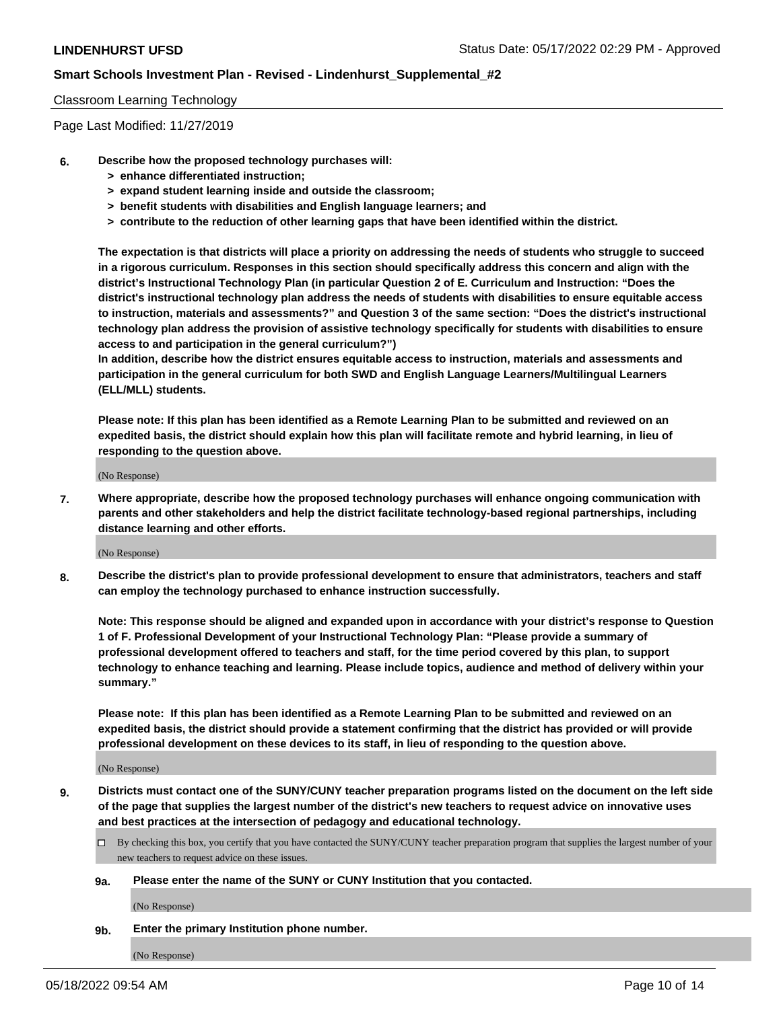### Classroom Learning Technology

Page Last Modified: 11/27/2019

- **6. Describe how the proposed technology purchases will:**
	- **> enhance differentiated instruction;**
	- **> expand student learning inside and outside the classroom;**
	- **> benefit students with disabilities and English language learners; and**
	- **> contribute to the reduction of other learning gaps that have been identified within the district.**

**The expectation is that districts will place a priority on addressing the needs of students who struggle to succeed in a rigorous curriculum. Responses in this section should specifically address this concern and align with the district's Instructional Technology Plan (in particular Question 2 of E. Curriculum and Instruction: "Does the district's instructional technology plan address the needs of students with disabilities to ensure equitable access to instruction, materials and assessments?" and Question 3 of the same section: "Does the district's instructional technology plan address the provision of assistive technology specifically for students with disabilities to ensure access to and participation in the general curriculum?")**

**In addition, describe how the district ensures equitable access to instruction, materials and assessments and participation in the general curriculum for both SWD and English Language Learners/Multilingual Learners (ELL/MLL) students.**

**Please note: If this plan has been identified as a Remote Learning Plan to be submitted and reviewed on an expedited basis, the district should explain how this plan will facilitate remote and hybrid learning, in lieu of responding to the question above.**

(No Response)

**7. Where appropriate, describe how the proposed technology purchases will enhance ongoing communication with parents and other stakeholders and help the district facilitate technology-based regional partnerships, including distance learning and other efforts.**

(No Response)

**8. Describe the district's plan to provide professional development to ensure that administrators, teachers and staff can employ the technology purchased to enhance instruction successfully.**

**Note: This response should be aligned and expanded upon in accordance with your district's response to Question 1 of F. Professional Development of your Instructional Technology Plan: "Please provide a summary of professional development offered to teachers and staff, for the time period covered by this plan, to support technology to enhance teaching and learning. Please include topics, audience and method of delivery within your summary."**

**Please note: If this plan has been identified as a Remote Learning Plan to be submitted and reviewed on an expedited basis, the district should provide a statement confirming that the district has provided or will provide professional development on these devices to its staff, in lieu of responding to the question above.**

(No Response)

**9. Districts must contact one of the SUNY/CUNY teacher preparation programs listed on the document on the left side of the page that supplies the largest number of the district's new teachers to request advice on innovative uses and best practices at the intersection of pedagogy and educational technology.**

- By checking this box, you certify that you have contacted the SUNY/CUNY teacher preparation program that supplies the largest number of your new teachers to request advice on these issues.
- **9a. Please enter the name of the SUNY or CUNY Institution that you contacted.**

(No Response)

**9b. Enter the primary Institution phone number.**

(No Response)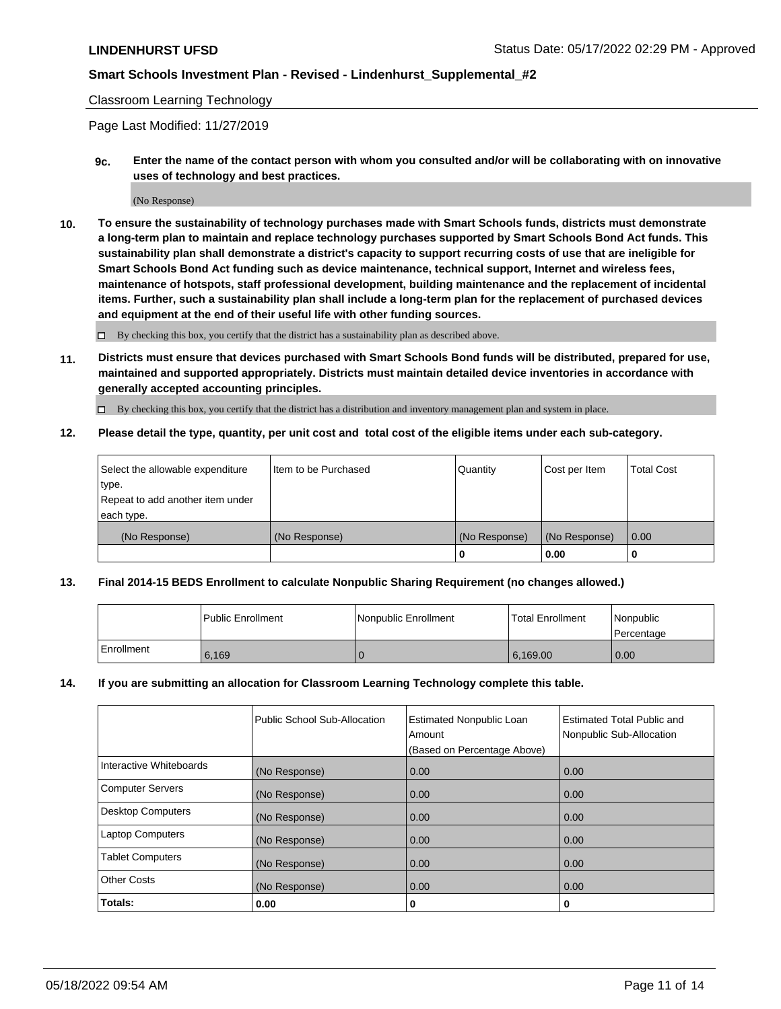### Classroom Learning Technology

Page Last Modified: 11/27/2019

**9c. Enter the name of the contact person with whom you consulted and/or will be collaborating with on innovative uses of technology and best practices.**

(No Response)

**10. To ensure the sustainability of technology purchases made with Smart Schools funds, districts must demonstrate a long-term plan to maintain and replace technology purchases supported by Smart Schools Bond Act funds. This sustainability plan shall demonstrate a district's capacity to support recurring costs of use that are ineligible for Smart Schools Bond Act funding such as device maintenance, technical support, Internet and wireless fees, maintenance of hotspots, staff professional development, building maintenance and the replacement of incidental items. Further, such a sustainability plan shall include a long-term plan for the replacement of purchased devices and equipment at the end of their useful life with other funding sources.**

 $\square$  By checking this box, you certify that the district has a sustainability plan as described above.

**11. Districts must ensure that devices purchased with Smart Schools Bond funds will be distributed, prepared for use, maintained and supported appropriately. Districts must maintain detailed device inventories in accordance with generally accepted accounting principles.**

By checking this box, you certify that the district has a distribution and inventory management plan and system in place.

**12. Please detail the type, quantity, per unit cost and total cost of the eligible items under each sub-category.**

| Select the allowable expenditure<br>type. | I Item to be Purchased | Quantity      | Cost per Item | Total Cost |
|-------------------------------------------|------------------------|---------------|---------------|------------|
| Repeat to add another item under          |                        |               |               |            |
| each type.                                |                        |               |               |            |
| (No Response)                             | (No Response)          | (No Response) | (No Response) | 0.00       |
|                                           |                        | u             | 0.00          |            |

### **13. Final 2014-15 BEDS Enrollment to calculate Nonpublic Sharing Requirement (no changes allowed.)**

|            | l Public Enrollment | Nonpublic Enrollment | <b>Total Enrollment</b> | Nonpublic<br>l Percentage |
|------------|---------------------|----------------------|-------------------------|---------------------------|
| Enrollment | 6.169               |                      | 6.169.00                | 0.00                      |

### **14. If you are submitting an allocation for Classroom Learning Technology complete this table.**

|                          | Public School Sub-Allocation | <b>Estimated Nonpublic Loan</b><br>Amount | <b>Estimated Total Public and</b><br>Nonpublic Sub-Allocation |
|--------------------------|------------------------------|-------------------------------------------|---------------------------------------------------------------|
|                          |                              | (Based on Percentage Above)               |                                                               |
| Interactive Whiteboards  | (No Response)                | 0.00                                      | 0.00                                                          |
| <b>Computer Servers</b>  | (No Response)                | 0.00                                      | 0.00                                                          |
| <b>Desktop Computers</b> | (No Response)                | 0.00                                      | 0.00                                                          |
| <b>Laptop Computers</b>  | (No Response)                | 0.00                                      | 0.00                                                          |
| <b>Tablet Computers</b>  | (No Response)                | 0.00                                      | 0.00                                                          |
| <b>Other Costs</b>       | (No Response)                | 0.00                                      | 0.00                                                          |
| Totals:                  | 0.00                         | 0                                         | 0                                                             |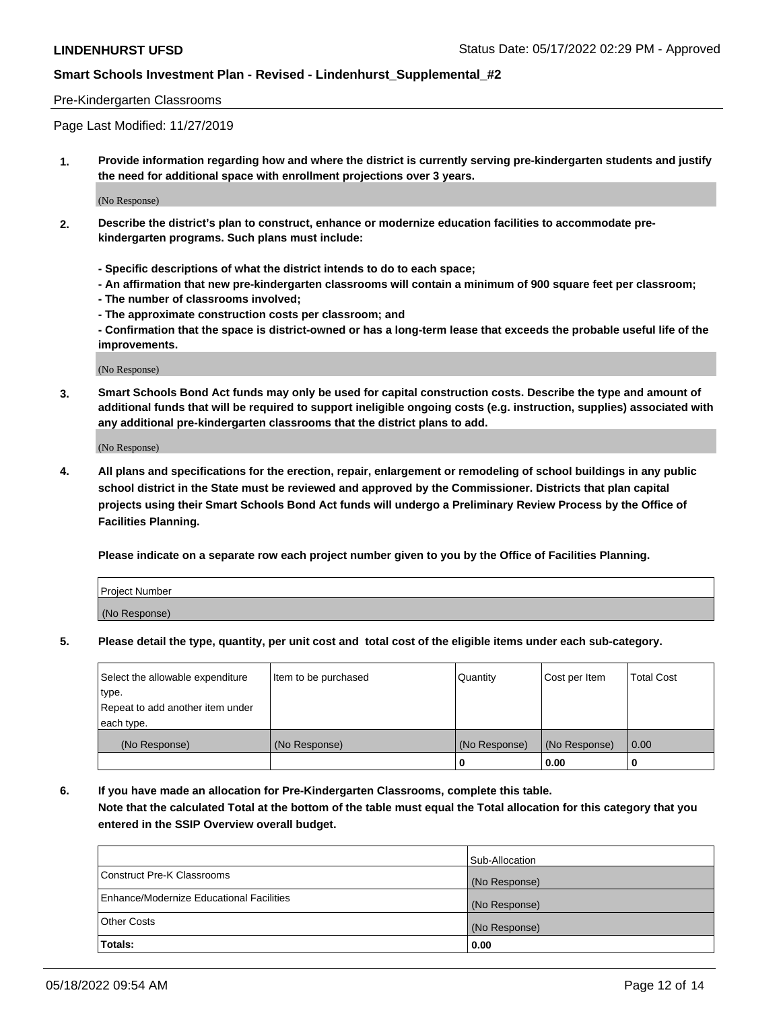### Pre-Kindergarten Classrooms

Page Last Modified: 11/27/2019

**1. Provide information regarding how and where the district is currently serving pre-kindergarten students and justify the need for additional space with enrollment projections over 3 years.**

(No Response)

- **2. Describe the district's plan to construct, enhance or modernize education facilities to accommodate prekindergarten programs. Such plans must include:**
	- **Specific descriptions of what the district intends to do to each space;**
	- **An affirmation that new pre-kindergarten classrooms will contain a minimum of 900 square feet per classroom;**
	- **The number of classrooms involved;**
	- **The approximate construction costs per classroom; and**
	- **Confirmation that the space is district-owned or has a long-term lease that exceeds the probable useful life of the improvements.**

(No Response)

**3. Smart Schools Bond Act funds may only be used for capital construction costs. Describe the type and amount of additional funds that will be required to support ineligible ongoing costs (e.g. instruction, supplies) associated with any additional pre-kindergarten classrooms that the district plans to add.**

(No Response)

**4. All plans and specifications for the erection, repair, enlargement or remodeling of school buildings in any public school district in the State must be reviewed and approved by the Commissioner. Districts that plan capital projects using their Smart Schools Bond Act funds will undergo a Preliminary Review Process by the Office of Facilities Planning.**

**Please indicate on a separate row each project number given to you by the Office of Facilities Planning.**

| Project Number |  |
|----------------|--|
| (No Response)  |  |

**5. Please detail the type, quantity, per unit cost and total cost of the eligible items under each sub-category.**

| Select the allowable expenditure | Item to be purchased | Quantity      | Cost per Item | <b>Total Cost</b> |
|----------------------------------|----------------------|---------------|---------------|-------------------|
| type.                            |                      |               |               |                   |
| Repeat to add another item under |                      |               |               |                   |
| each type.                       |                      |               |               |                   |
| (No Response)                    | (No Response)        | (No Response) | (No Response) | 0.00              |
|                                  |                      | 0             | 0.00          |                   |

**6. If you have made an allocation for Pre-Kindergarten Classrooms, complete this table.**

**Note that the calculated Total at the bottom of the table must equal the Total allocation for this category that you entered in the SSIP Overview overall budget.**

|                                          | Sub-Allocation |
|------------------------------------------|----------------|
| Construct Pre-K Classrooms               | (No Response)  |
| Enhance/Modernize Educational Facilities | (No Response)  |
| <b>Other Costs</b>                       | (No Response)  |
| Totals:                                  | 0.00           |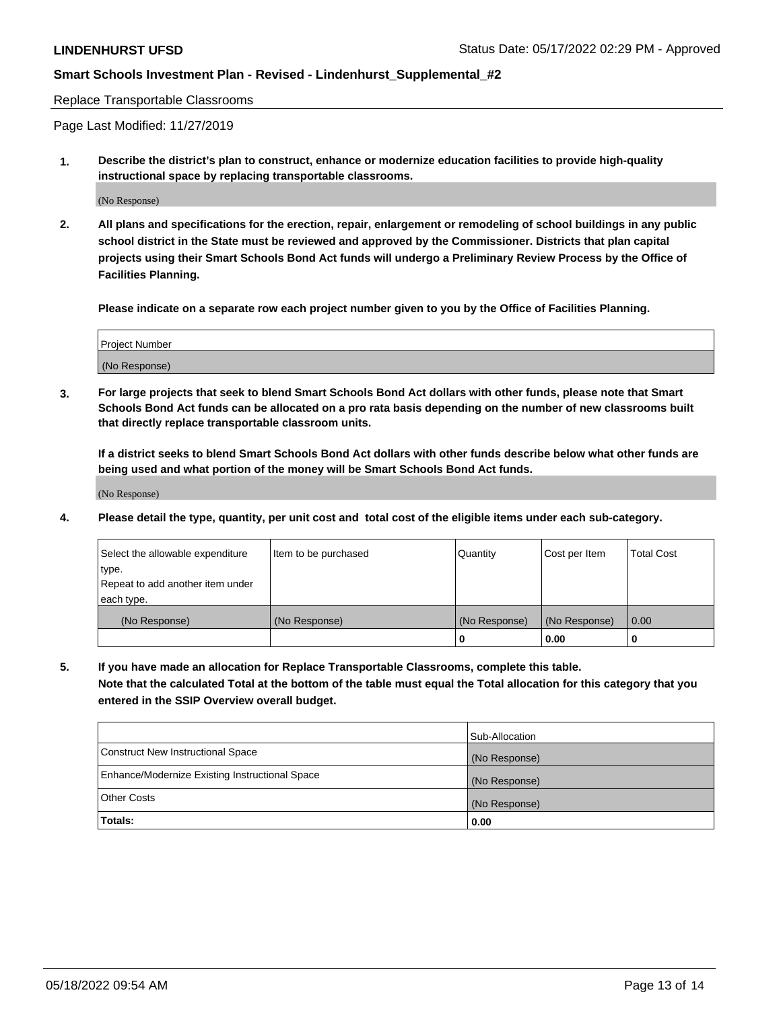Replace Transportable Classrooms

Page Last Modified: 11/27/2019

**1. Describe the district's plan to construct, enhance or modernize education facilities to provide high-quality instructional space by replacing transportable classrooms.**

(No Response)

**2. All plans and specifications for the erection, repair, enlargement or remodeling of school buildings in any public school district in the State must be reviewed and approved by the Commissioner. Districts that plan capital projects using their Smart Schools Bond Act funds will undergo a Preliminary Review Process by the Office of Facilities Planning.**

**Please indicate on a separate row each project number given to you by the Office of Facilities Planning.**

| <b>Project Number</b> |  |
|-----------------------|--|
| (No Response)         |  |

**3. For large projects that seek to blend Smart Schools Bond Act dollars with other funds, please note that Smart Schools Bond Act funds can be allocated on a pro rata basis depending on the number of new classrooms built that directly replace transportable classroom units.**

**If a district seeks to blend Smart Schools Bond Act dollars with other funds describe below what other funds are being used and what portion of the money will be Smart Schools Bond Act funds.**

(No Response)

**4. Please detail the type, quantity, per unit cost and total cost of the eligible items under each sub-category.**

| Select the allowable expenditure | Item to be purchased | Quantity      | Cost per Item | <b>Total Cost</b> |
|----------------------------------|----------------------|---------------|---------------|-------------------|
| type.                            |                      |               |               |                   |
| Repeat to add another item under |                      |               |               |                   |
| each type.                       |                      |               |               |                   |
| (No Response)                    | (No Response)        | (No Response) | (No Response) | 0.00              |
|                                  |                      | U             | 0.00          |                   |

**5. If you have made an allocation for Replace Transportable Classrooms, complete this table.**

**Note that the calculated Total at the bottom of the table must equal the Total allocation for this category that you entered in the SSIP Overview overall budget.**

|                                                | Sub-Allocation |
|------------------------------------------------|----------------|
| Construct New Instructional Space              | (No Response)  |
| Enhance/Modernize Existing Instructional Space | (No Response)  |
| <b>Other Costs</b>                             | (No Response)  |
| Totals:                                        | 0.00           |